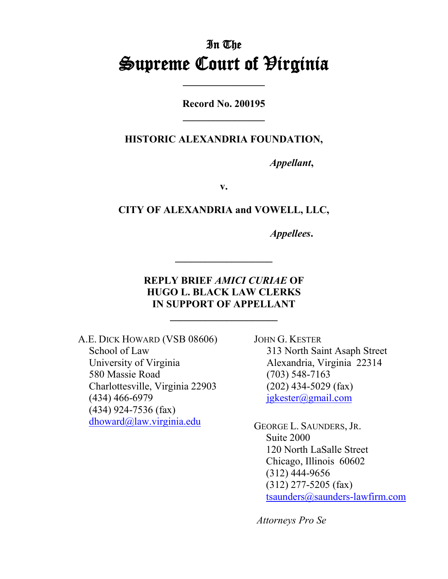# In The **Supreme Court of Hirginia**

**Record No. 200195 \_\_\_\_\_\_\_\_\_\_\_\_\_\_\_\_**

**HISTORIC ALEXANDRIA FOUNDATION,**

*Appellant***,**

**v.**

**CITY OF ALEXANDRIA and VOWELL, LLC,**

*Appellees***.**

## **REPLY BRIEF** *AMICI CURIAE* **OF HUGO L. BLACK LAW CLERKS IN SUPPORT OF APPELLANT**

**\_\_\_\_\_\_\_\_\_\_\_\_\_\_\_\_\_\_\_\_\_**

A.E. DICK HOWARD (VSB 08606) School of Law University of Virginia 580 Massie Road Charlottesville, Virginia 22903 (434) 466-6979 (434) 924-7536 (fax) dhoward@law.virginia.edu

JOHN G. KESTER 313 North Saint Asaph Street Alexandria, Virginia 22314 (703) 548-7163 (202) 434-5029 (fax) jgkester@gmail.com

GEORGE L. SAUNDERS, JR. Suite 2000 120 North LaSalle Street Chicago, Illinois 60602 (312) 444-9656 (312) 277-5205 (fax) tsaunders@saunders-lawfirm.com

*Attorneys Pro Se*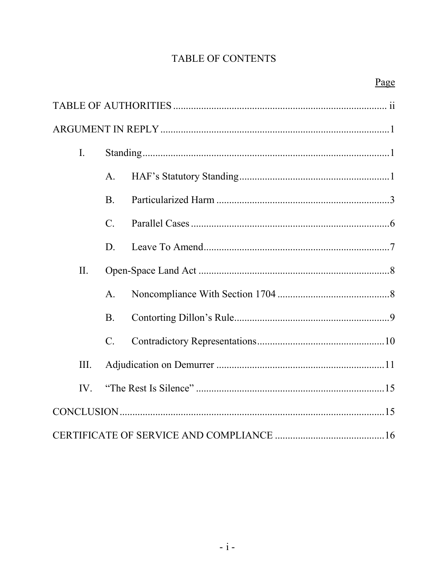## TABLE OF CONTENTS

| $\mathbf{I}$ . |                 |  |  |
|----------------|-----------------|--|--|
|                | $\mathsf{A}$ .  |  |  |
|                | <b>B.</b>       |  |  |
|                | $\mathcal{C}$ . |  |  |
|                | D.              |  |  |
| II.            |                 |  |  |
|                | $A_{\cdot}$     |  |  |
|                | <b>B.</b>       |  |  |
|                | $C$ .           |  |  |
| III.           |                 |  |  |
| IV.            |                 |  |  |
|                |                 |  |  |
|                |                 |  |  |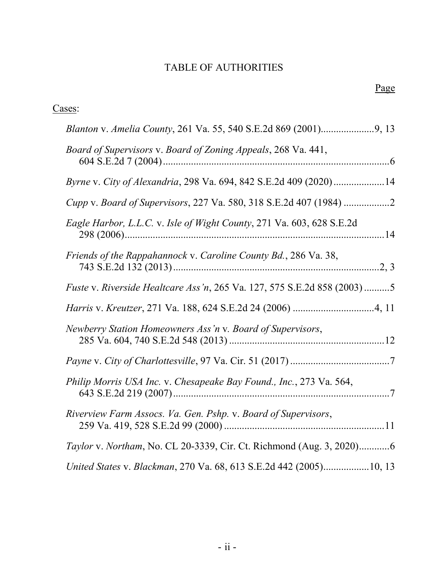## TABLE OF AUTHORITIES

| Cases: |                                                                         |
|--------|-------------------------------------------------------------------------|
|        |                                                                         |
|        | Board of Supervisors v. Board of Zoning Appeals, 268 Va. 441,           |
|        | Byrne v. City of Alexandria, 298 Va. 694, 842 S.E.2d 409 (2020)14       |
|        |                                                                         |
|        | Eagle Harbor, L.L.C. v. Isle of Wight County, 271 Va. 603, 628 S.E.2d   |
|        | Friends of the Rappahannock v. Caroline County Bd., 286 Va. 38,         |
|        | Fuste v. Riverside Healtcare Ass'n, 265 Va. 127, 575 S.E.2d 858 (2003)5 |
|        |                                                                         |
|        | Newberry Station Homeowners Ass'n v. Board of Supervisors,              |
|        |                                                                         |
|        | Philip Morris USA Inc. v. Chesapeake Bay Found., Inc., 273 Va. 564,     |
|        | Riverview Farm Assocs. Va. Gen. Pshp. v. Board of Supervisors,          |
|        | Taylor v. Northam, No. CL 20-3339, Cir. Ct. Richmond (Aug. 3, 2020)6    |
|        | United States v. Blackman, 270 Va. 68, 613 S.E.2d 442 (2005)10, 13      |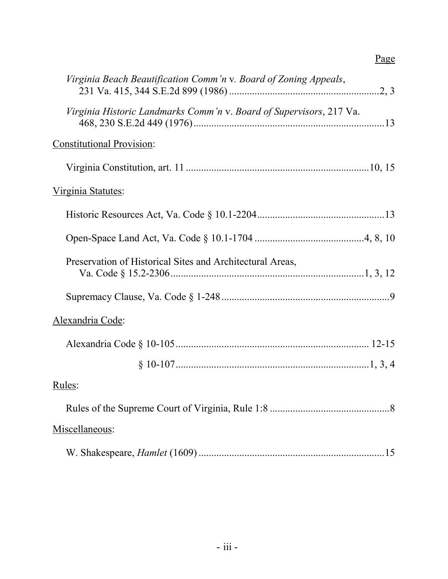| Virginia Beach Beautification Comm'n v. Board of Zoning Appeals,    |
|---------------------------------------------------------------------|
| Virginia Historic Landmarks Comm'n v. Board of Supervisors, 217 Va. |
| <b>Constitutional Provision:</b>                                    |
|                                                                     |
| <u>Virginia Statutes</u> :                                          |
|                                                                     |
|                                                                     |
| Preservation of Historical Sites and Architectural Areas,           |
|                                                                     |
| Alexandria Code:                                                    |
|                                                                     |
|                                                                     |
| Rules:                                                              |
|                                                                     |
| Miscellaneous:                                                      |
|                                                                     |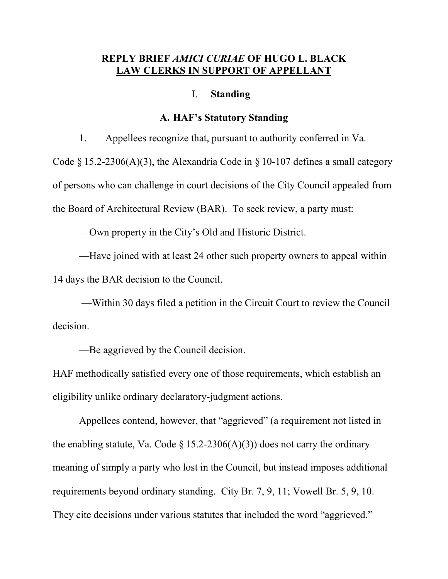#### **REPLY BRIEF** *AMICI CURIAE* **OF HUGO L. BLACK LAW CLERKS IN SUPPORT OF APPELLANT**

#### I. **Standing**

#### **A. HAF's Statutory Standing**

1. Appellees recognize that, pursuant to authority conferred in Va.

Code  $\S 15.2-2306(A)(3)$ , the Alexandria Code in  $\S 10-107$  defines a small category of persons who can challenge in court decisions of the City Council appealed from the Board of Architectural Review (BAR). To seek review, a party must:

—Own property in the City's Old and Historic District.

—Have joined with at least 24 other such property owners to appeal within 14 days the BAR decision to the Council.

—Within 30 days filed a petition in the Circuit Court to review the Council decision.

—Be aggrieved by the Council decision.

HAF methodically satisfied every one of those requirements, which establish an eligibility unlike ordinary declaratory-judgment actions.

Appellees contend, however, that "aggrieved" (a requirement not listed in the enabling statute, Va. Code § 15.2-2306(A)(3)) does not carry the ordinary meaning of simply a party who lost in the Council, but instead imposes additional requirements beyond ordinary standing. City Br. 7, 9, 11; Vowell Br. 5, 9, 10. They cite decisions under various statutes that included the word "aggrieved."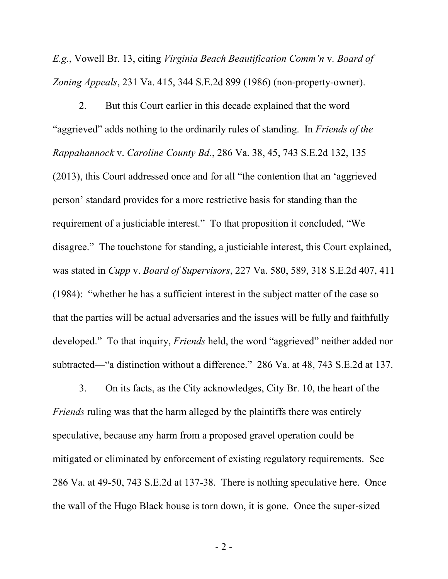*E.g.*, Vowell Br. 13, citing *Virginia Beach Beautification Comm'n* v*. Board of Zoning Appeals*, 231 Va. 415, 344 S.E.2d 899 (1986) (non-property-owner).

2. But this Court earlier in this decade explained that the word "aggrieved" adds nothing to the ordinarily rules of standing. In *Friends of the Rappahannock* v. *Caroline County Bd.*, 286 Va. 38, 45, 743 S.E.2d 132, 135 (2013), this Court addressed once and for all "the contention that an 'aggrieved person' standard provides for a more restrictive basis for standing than the requirement of a justiciable interest." To that proposition it concluded, "We disagree." The touchstone for standing, a justiciable interest, this Court explained, was stated in *Cupp* v. *Board of Supervisors*, 227 Va. 580, 589, 318 S.E.2d 407, 411 (1984): "whether he has a sufficient interest in the subject matter of the case so that the parties will be actual adversaries and the issues will be fully and faithfully developed." To that inquiry, *Friends* held, the word "aggrieved" neither added nor subtracted—"a distinction without a difference." 286 Va. at 48, 743 S.E.2d at 137.

3. On its facts, as the City acknowledges, City Br. 10, the heart of the *Friends* ruling was that the harm alleged by the plaintiffs there was entirely speculative, because any harm from a proposed gravel operation could be mitigated or eliminated by enforcement of existing regulatory requirements. See 286 Va. at 49-50, 743 S.E.2d at 137-38. There is nothing speculative here. Once the wall of the Hugo Black house is torn down, it is gone. Once the super-sized

- 2 -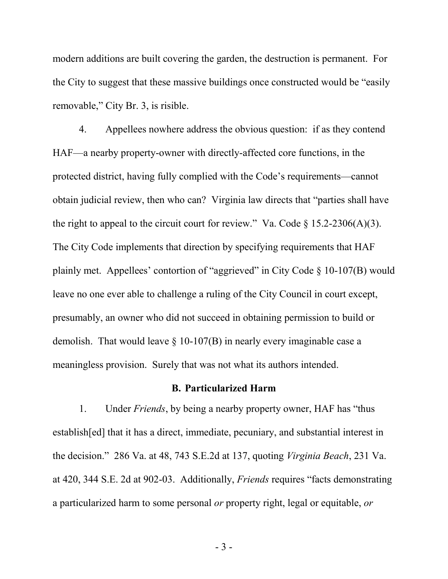modern additions are built covering the garden, the destruction is permanent. For the City to suggest that these massive buildings once constructed would be "easily removable," City Br. 3, is risible.

4. Appellees nowhere address the obvious question: if as they contend HAF—a nearby property-owner with directly-affected core functions, in the protected district, having fully complied with the Code's requirements—cannot obtain judicial review, then who can? Virginia law directs that "parties shall have the right to appeal to the circuit court for review." Va. Code  $\S 15.2-2306(A)(3)$ . The City Code implements that direction by specifying requirements that HAF plainly met. Appellees' contortion of "aggrieved" in City Code § 10-107(B) would leave no one ever able to challenge a ruling of the City Council in court except, presumably, an owner who did not succeed in obtaining permission to build or demolish. That would leave  $\S$  10-107(B) in nearly every imaginable case a meaningless provision. Surely that was not what its authors intended.

#### **B. Particularized Harm**

1. Under *Friends*, by being a nearby property owner, HAF has "thus establish[ed] that it has a direct, immediate, pecuniary, and substantial interest in the decision." 286 Va. at 48, 743 S.E.2d at 137, quoting *Virginia Beach*, 231 Va. at 420, 344 S.E. 2d at 902-03. Additionally, *Friends* requires "facts demonstrating a particularized harm to some personal *or* property right, legal or equitable, *or*

- 3 -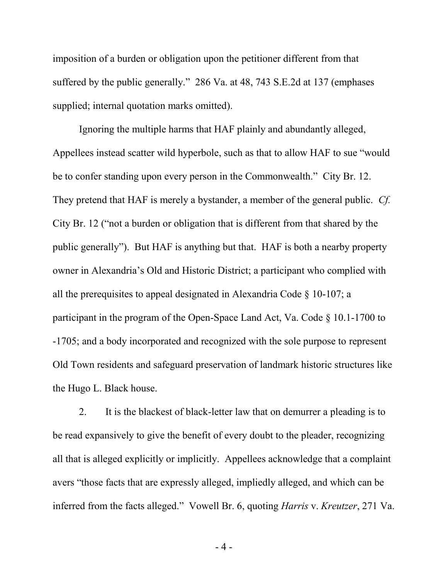imposition of a burden or obligation upon the petitioner different from that suffered by the public generally." 286 Va. at 48, 743 S.E.2d at 137 (emphases supplied; internal quotation marks omitted).

Ignoring the multiple harms that HAF plainly and abundantly alleged, Appellees instead scatter wild hyperbole, such as that to allow HAF to sue "would be to confer standing upon every person in the Commonwealth." City Br. 12. They pretend that HAF is merely a bystander, a member of the general public. *Cf.* City Br. 12 ("not a burden or obligation that is different from that shared by the public generally"). But HAF is anything but that. HAF is both a nearby property owner in Alexandria's Old and Historic District; a participant who complied with all the prerequisites to appeal designated in Alexandria Code § 10-107; a participant in the program of the Open-Space Land Act, Va. Code § 10.1-1700 to -1705; and a body incorporated and recognized with the sole purpose to represent Old Town residents and safeguard preservation of landmark historic structures like the Hugo L. Black house.

2. It is the blackest of black-letter law that on demurrer a pleading is to be read expansively to give the benefit of every doubt to the pleader, recognizing all that is alleged explicitly or implicitly. Appellees acknowledge that a complaint avers "those facts that are expressly alleged, impliedly alleged, and which can be inferred from the facts alleged." Vowell Br. 6, quoting *Harris* v. *Kreutzer*, 271 Va.

- 4 -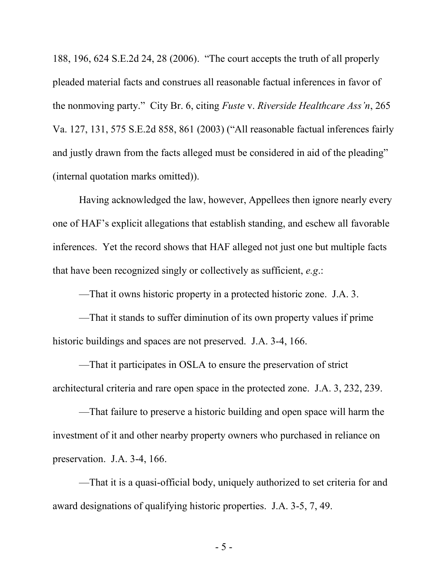188, 196, 624 S.E.2d 24, 28 (2006). "The court accepts the truth of all properly pleaded material facts and construes all reasonable factual inferences in favor of the nonmoving party." City Br. 6, citing *Fuste* v. *Riverside Healthcare Ass'n*, 265 Va. 127, 131, 575 S.E.2d 858, 861 (2003) ("All reasonable factual inferences fairly and justly drawn from the facts alleged must be considered in aid of the pleading" (internal quotation marks omitted)).

Having acknowledged the law, however, Appellees then ignore nearly every one of HAF's explicit allegations that establish standing, and eschew all favorable inferences. Yet the record shows that HAF alleged not just one but multiple facts that have been recognized singly or collectively as sufficient, *e.g*.:

—That it owns historic property in a protected historic zone. J.A. 3.

—That it stands to suffer diminution of its own property values if prime historic buildings and spaces are not preserved. J.A. 3-4, 166.

—That it participates in OSLA to ensure the preservation of strict architectural criteria and rare open space in the protected zone. J.A. 3, 232, 239.

—That failure to preserve a historic building and open space will harm the investment of it and other nearby property owners who purchased in reliance on preservation. J.A. 3-4, 166.

—That it is a quasi-official body, uniquely authorized to set criteria for and award designations of qualifying historic properties. J.A. 3-5, 7, 49.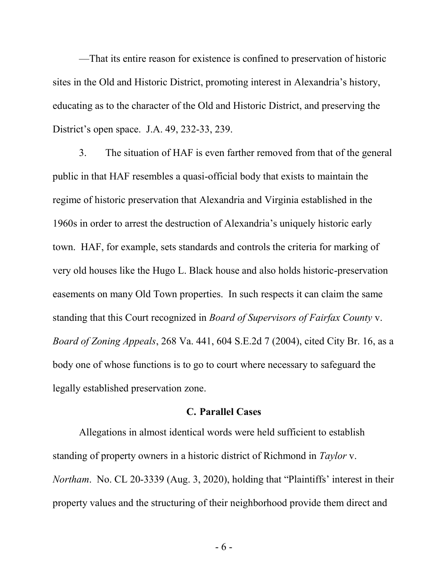—That its entire reason for existence is confined to preservation of historic sites in the Old and Historic District, promoting interest in Alexandria's history, educating as to the character of the Old and Historic District, and preserving the District's open space. J.A. 49, 232-33, 239.

3. The situation of HAF is even farther removed from that of the general public in that HAF resembles a quasi-official body that exists to maintain the regime of historic preservation that Alexandria and Virginia established in the 1960s in order to arrest the destruction of Alexandria's uniquely historic early town. HAF, for example, sets standards and controls the criteria for marking of very old houses like the Hugo L. Black house and also holds historic-preservation easements on many Old Town properties. In such respects it can claim the same standing that this Court recognized in *Board of Supervisors of Fairfax County* v. *Board of Zoning Appeals*, 268 Va. 441, 604 S.E.2d 7 (2004), cited City Br. 16, as a body one of whose functions is to go to court where necessary to safeguard the legally established preservation zone.

#### **C. Parallel Cases**

Allegations in almost identical words were held sufficient to establish standing of property owners in a historic district of Richmond in *Taylor* v. *Northam*. No. CL 20-3339 (Aug. 3, 2020), holding that "Plaintiffs' interest in their property values and the structuring of their neighborhood provide them direct and

- 6 -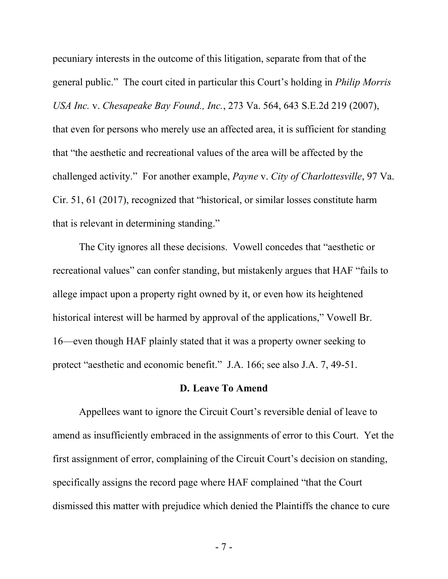pecuniary interests in the outcome of this litigation, separate from that of the general public." The court cited in particular this Court's holding in *Philip Morris USA Inc.* v. *Chesapeake Bay Found., Inc.*, 273 Va. 564, 643 S.E.2d 219 (2007), that even for persons who merely use an affected area, it is sufficient for standing that "the aesthetic and recreational values of the area will be affected by the challenged activity." For another example, *Payne* v. *City of Charlottesville*, 97 Va. Cir. 51, 61 (2017), recognized that "historical, or similar losses constitute harm that is relevant in determining standing."

The City ignores all these decisions. Vowell concedes that "aesthetic or recreational values" can confer standing, but mistakenly argues that HAF "fails to allege impact upon a property right owned by it, or even how its heightened historical interest will be harmed by approval of the applications," Vowell Br. 16—even though HAF plainly stated that it was a property owner seeking to protect "aesthetic and economic benefit." J.A. 166; see also J.A. 7, 49-51.

#### **D. Leave To Amend**

Appellees want to ignore the Circuit Court's reversible denial of leave to amend as insufficiently embraced in the assignments of error to this Court. Yet the first assignment of error, complaining of the Circuit Court's decision on standing, specifically assigns the record page where HAF complained "that the Court dismissed this matter with prejudice which denied the Plaintiffs the chance to cure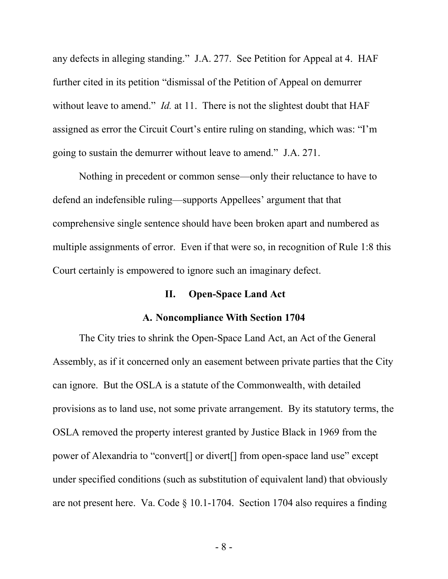any defects in alleging standing." J.A. 277. See Petition for Appeal at 4. HAF further cited in its petition "dismissal of the Petition of Appeal on demurrer without leave to amend." *Id.* at 11. There is not the slightest doubt that HAF assigned as error the Circuit Court's entire ruling on standing, which was: "I'm going to sustain the demurrer without leave to amend." J.A. 271.

Nothing in precedent or common sense—only their reluctance to have to defend an indefensible ruling—supports Appellees' argument that that comprehensive single sentence should have been broken apart and numbered as multiple assignments of error. Even if that were so, in recognition of Rule 1:8 this Court certainly is empowered to ignore such an imaginary defect.

#### **II. Open-Space Land Act**

#### **A. Noncompliance With Section 1704**

The City tries to shrink the Open-Space Land Act, an Act of the General Assembly, as if it concerned only an easement between private parties that the City can ignore. But the OSLA is a statute of the Commonwealth, with detailed provisions as to land use, not some private arrangement. By its statutory terms, the OSLA removed the property interest granted by Justice Black in 1969 from the power of Alexandria to "convert[] or divert[] from open-space land use" except under specified conditions (such as substitution of equivalent land) that obviously are not present here. Va. Code § 10.1-1704. Section 1704 also requires a finding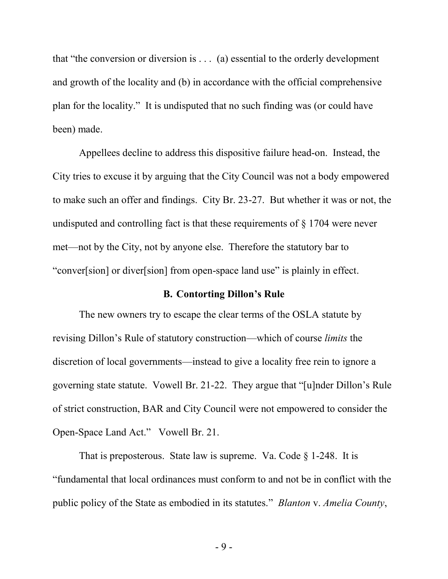that "the conversion or diversion is . . . (a) essential to the orderly development and growth of the locality and (b) in accordance with the official comprehensive plan for the locality." It is undisputed that no such finding was (or could have been) made.

Appellees decline to address this dispositive failure head-on. Instead, the City tries to excuse it by arguing that the City Council was not a body empowered to make such an offer and findings. City Br. 23-27. But whether it was or not, the undisputed and controlling fact is that these requirements of § 1704 were never met—not by the City, not by anyone else. Therefore the statutory bar to "conver[sion] or diver[sion] from open-space land use" is plainly in effect.

#### **B. Contorting Dillon's Rule**

The new owners try to escape the clear terms of the OSLA statute by revising Dillon's Rule of statutory construction—which of course *limits* the discretion of local governments—instead to give a locality free rein to ignore a governing state statute. Vowell Br. 21-22. They argue that "[u]nder Dillon's Rule of strict construction, BAR and City Council were not empowered to consider the Open-Space Land Act." Vowell Br. 21.

That is preposterous. State law is supreme. Va. Code  $\S$  1-248. It is "fundamental that local ordinances must conform to and not be in conflict with the public policy of the State as embodied in its statutes." *Blanton* v. *Amelia County*,

- 9 -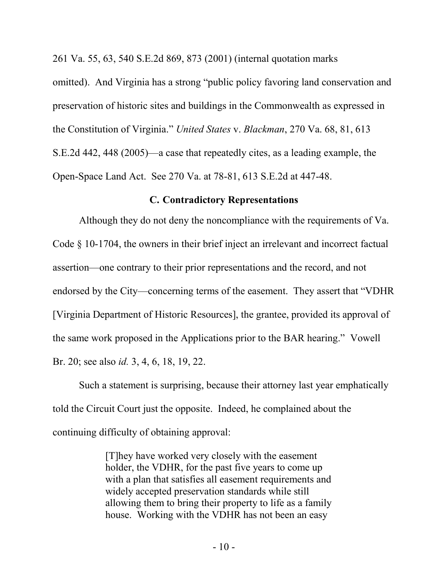261 Va. 55, 63, 540 S.E.2d 869, 873 (2001) (internal quotation marks

omitted). And Virginia has a strong "public policy favoring land conservation and preservation of historic sites and buildings in the Commonwealth as expressed in the Constitution of Virginia." *United States* v. *Blackman*, 270 Va. 68, 81, 613 S.E.2d 442, 448 (2005)—a case that repeatedly cites, as a leading example, the Open-Space Land Act. See 270 Va. at 78-81, 613 S.E.2d at 447-48.

#### **C. Contradictory Representations**

Although they do not deny the noncompliance with the requirements of Va. Code § 10-1704, the owners in their brief inject an irrelevant and incorrect factual assertion—one contrary to their prior representations and the record, and not endorsed by the City—concerning terms of the easement. They assert that "VDHR [Virginia Department of Historic Resources], the grantee, provided its approval of the same work proposed in the Applications prior to the BAR hearing." Vowell Br. 20; see also *id.* 3, 4, 6, 18, 19, 22.

Such a statement is surprising, because their attorney last year emphatically told the Circuit Court just the opposite. Indeed, he complained about the continuing difficulty of obtaining approval:

> [T]hey have worked very closely with the easement holder, the VDHR, for the past five years to come up with a plan that satisfies all easement requirements and widely accepted preservation standards while still allowing them to bring their property to life as a family house. Working with the VDHR has not been an easy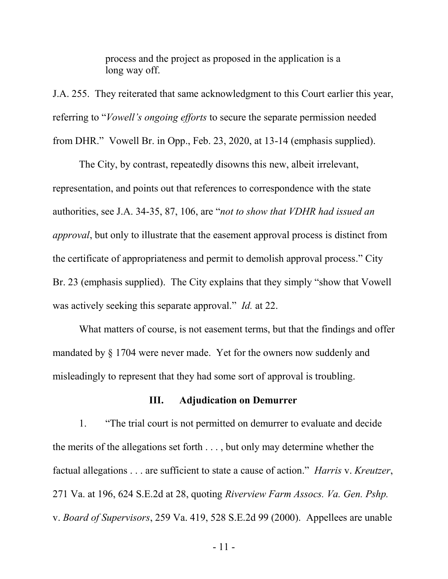process and the project as proposed in the application is a long way off.

J.A. 255. They reiterated that same acknowledgment to this Court earlier this year, referring to "*Vowell's ongoing efforts* to secure the separate permission needed from DHR." Vowell Br. in Opp., Feb. 23, 2020, at 13-14 (emphasis supplied).

The City, by contrast, repeatedly disowns this new, albeit irrelevant, representation, and points out that references to correspondence with the state authorities, see J.A. 34-35, 87, 106, are "*not to show that VDHR had issued an approval*, but only to illustrate that the easement approval process is distinct from the certificate of appropriateness and permit to demolish approval process." City Br. 23 (emphasis supplied). The City explains that they simply "show that Vowell was actively seeking this separate approval." *Id.* at 22.

What matters of course, is not easement terms, but that the findings and offer mandated by § 1704 were never made. Yet for the owners now suddenly and misleadingly to represent that they had some sort of approval is troubling.

#### **III. Adjudication on Demurrer**

1. "The trial court is not permitted on demurrer to evaluate and decide the merits of the allegations set forth . . . , but only may determine whether the factual allegations . . . are sufficient to state a cause of action." *Harris* v. *Kreutzer*, 271 Va. at 196, 624 S.E.2d at 28, quoting *Riverview Farm Assocs. Va. Gen. Pshp.*  v. *Board of Supervisors*, 259 Va. 419, 528 S.E.2d 99 (2000). Appellees are unable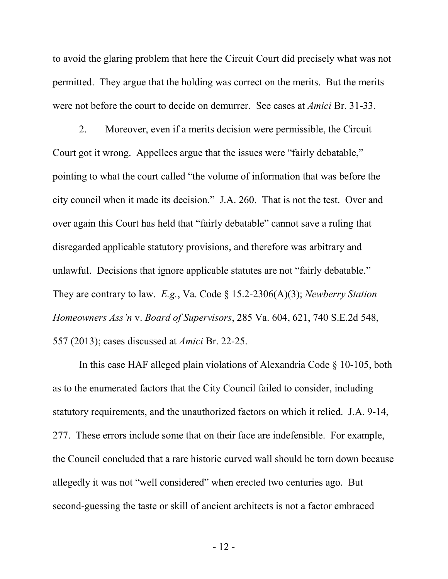to avoid the glaring problem that here the Circuit Court did precisely what was not permitted. They argue that the holding was correct on the merits. But the merits were not before the court to decide on demurrer. See cases at *Amici* Br. 31-33.

2. Moreover, even if a merits decision were permissible, the Circuit Court got it wrong. Appellees argue that the issues were "fairly debatable," pointing to what the court called "the volume of information that was before the city council when it made its decision." J.A. 260. That is not the test. Over and over again this Court has held that "fairly debatable" cannot save a ruling that disregarded applicable statutory provisions, and therefore was arbitrary and unlawful. Decisions that ignore applicable statutes are not "fairly debatable." They are contrary to law. *E.g.*, Va. Code § 15.2-2306(A)(3); *Newberry Station Homeowners Ass'n* v. *Board of Supervisors*, 285 Va. 604, 621, 740 S.E.2d 548, 557 (2013); cases discussed at *Amici* Br. 22-25.

In this case HAF alleged plain violations of Alexandria Code § 10-105, both as to the enumerated factors that the City Council failed to consider, including statutory requirements, and the unauthorized factors on which it relied. J.A. 9-14, 277. These errors include some that on their face are indefensible. For example, the Council concluded that a rare historic curved wall should be torn down because allegedly it was not "well considered" when erected two centuries ago. But second-guessing the taste or skill of ancient architects is not a factor embraced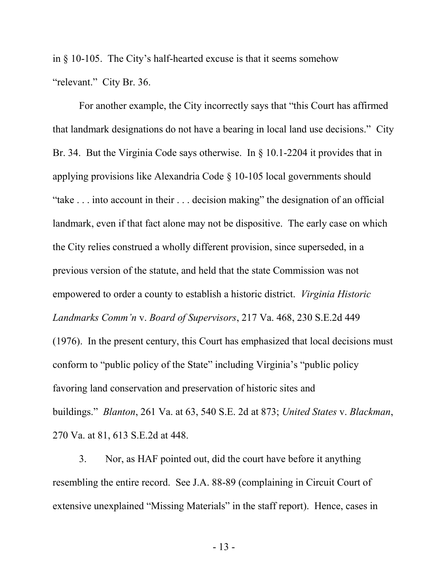in § 10-105. The City's half-hearted excuse is that it seems somehow "relevant." City Br. 36.

For another example, the City incorrectly says that "this Court has affirmed that landmark designations do not have a bearing in local land use decisions." City Br. 34. But the Virginia Code says otherwise. In § 10.1-2204 it provides that in applying provisions like Alexandria Code § 10-105 local governments should "take . . . into account in their . . . decision making" the designation of an official landmark, even if that fact alone may not be dispositive. The early case on which the City relies construed a wholly different provision, since superseded, in a previous version of the statute, and held that the state Commission was not empowered to order a county to establish a historic district. *Virginia Historic Landmarks Comm'n* v. *Board of Supervisors*, 217 Va. 468, 230 S.E.2d 449 (1976). In the present century, this Court has emphasized that local decisions must conform to "public policy of the State" including Virginia's "public policy favoring land conservation and preservation of historic sites and buildings." *Blanton*, 261 Va. at 63, 540 S.E. 2d at 873; *United States* v. *Blackman*, 270 Va. at 81, 613 S.E.2d at 448.

3. Nor, as HAF pointed out, did the court have before it anything resembling the entire record. See J.A. 88-89 (complaining in Circuit Court of extensive unexplained "Missing Materials" in the staff report). Hence, cases in

- 13 -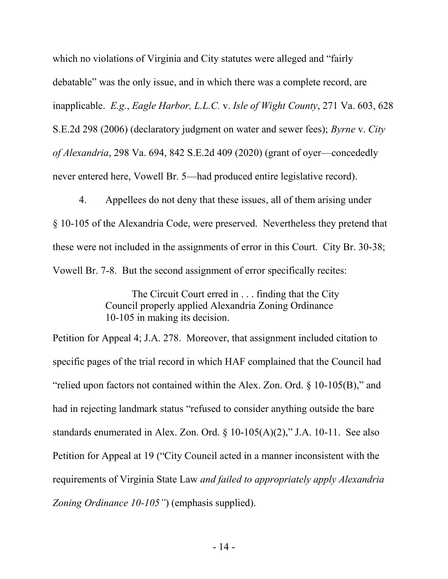which no violations of Virginia and City statutes were alleged and "fairly debatable" was the only issue, and in which there was a complete record, are inapplicable. *E.g.*, *Eagle Harbor, L.L.C.* v. *Isle of Wight County*, 271 Va. 603, 628 S.E.2d 298 (2006) (declaratory judgment on water and sewer fees); *Byrne* v. *City of Alexandria*, 298 Va. 694, 842 S.E.2d 409 (2020) (grant of oyer—concededly never entered here, Vowell Br. 5—had produced entire legislative record).

4. Appellees do not deny that these issues, all of them arising under § 10-105 of the Alexandria Code, were preserved. Nevertheless they pretend that these were not included in the assignments of error in this Court. City Br. 30-38; Vowell Br. 7-8. But the second assignment of error specifically recites:

> The Circuit Court erred in . . . finding that the City Council properly applied Alexandria Zoning Ordinance 10-105 in making its decision.

Petition for Appeal 4; J.A. 278. Moreover, that assignment included citation to specific pages of the trial record in which HAF complained that the Council had "relied upon factors not contained within the Alex. Zon. Ord. § 10-105(B)," and had in rejecting landmark status "refused to consider anything outside the bare standards enumerated in Alex. Zon. Ord. § 10-105(A)(2)," J.A. 10-11. See also Petition for Appeal at 19 ("City Council acted in a manner inconsistent with the requirements of Virginia State Law *and failed to appropriately apply Alexandria Zoning Ordinance 10-105"*) (emphasis supplied).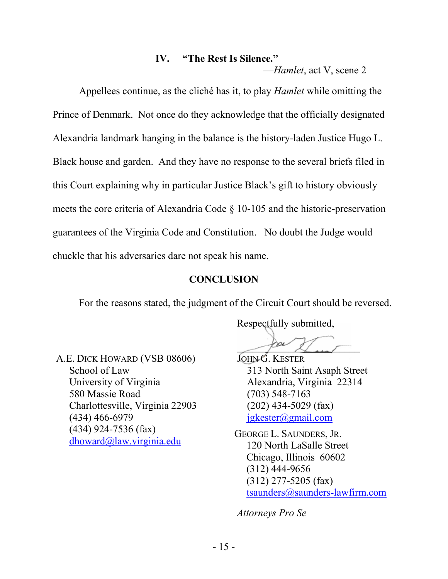## **IV. "The Rest Is Silence."**

—*Hamlet*, act V, scene 2

Appellees continue, as the cliché has it, to play *Hamlet* while omitting the Prince of Denmark. Not once do they acknowledge that the officially designated Alexandria landmark hanging in the balance is the history-laden Justice Hugo L. Black house and garden. And they have no response to the several briefs filed in this Court explaining why in particular Justice Black's gift to history obviously meets the core criteria of Alexandria Code § 10-105 and the historic-preservation guarantees of the Virginia Code and Constitution. No doubt the Judge would chuckle that his adversaries dare not speak his name.

### **CONCLUSION**

For the reasons stated, the judgment of the Circuit Court should be reversed.

Respectfully submitted,

 $\rho^{\omega}$  for  $\mu^{\omega}$ 

A.E. DICK HOWARD (VSB 08606) School of Law University of Virginia 580 Massie Road Charlottesville, Virginia 22903 (434) 466-6979 (434) 924-7536 (fax) dhoward@law.virginia.edu

JOHN G. KESTER 313 North Saint Asaph Street Alexandria, Virginia 22314 (703) 548-7163 (202) 434-5029 (fax) jgkester@gmail.com

GEORGE L. SAUNDERS, JR. 120 North LaSalle Street Chicago, Illinois 60602 (312) 444-9656 (312) 277-5205 (fax) tsaunders@saunders-lawfirm.com

*Attorneys Pro Se*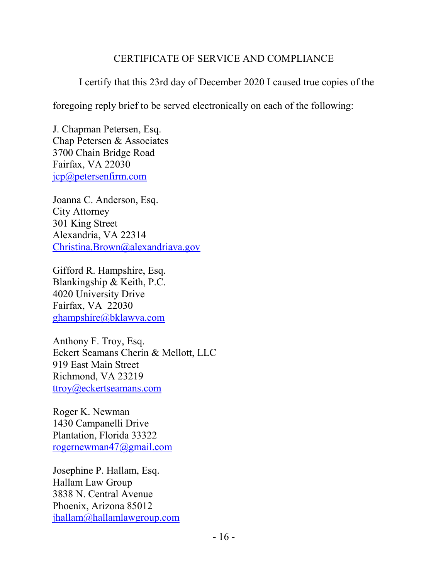## CERTIFICATE OF SERVICE AND COMPLIANCE

I certify that this 23rd day of December 2020 I caused true copies of the

foregoing reply brief to be served electronically on each of the following:

J. Chapman Petersen, Esq. Chap Petersen & Associates 3700 Chain Bridge Road Fairfax, VA 22030 jcp@petersenfirm.com

Joanna C. Anderson, Esq. City Attorney 301 King Street Alexandria, VA 22314 Christina.Brown@alexandriava.gov

Gifford R. Hampshire, Esq. Blankingship & Keith, P.C. 4020 University Drive Fairfax, VA 22030 ghampshire@bklawva.com

Anthony F. Troy, Esq. Eckert Seamans Cherin & Mellott, LLC 919 East Main Street Richmond, VA 23219 ttroy@eckertseamans.com

Roger K. Newman 1430 Campanelli Drive Plantation, Florida 33322 rogernewman47@gmail.com

Josephine P. Hallam, Esq. Hallam Law Group 3838 N. Central Avenue Phoenix, Arizona 85012 jhallam@hallamlawgroup.com